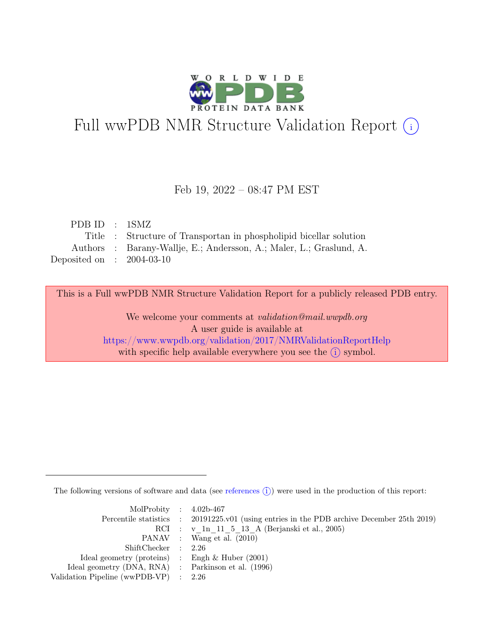

# Full wwPDB NMR Structure Validation Report (i)

#### Feb 19, 2022 – 08:47 PM EST

| PDBID : 1SMZ                |                                                                     |
|-----------------------------|---------------------------------------------------------------------|
|                             | Title : Structure of Transportan in phospholipid bicellar solution  |
|                             | Authors : Barany-Wallje, E.; Andersson, A.; Maler, L.; Graslund, A. |
| Deposited on : $2004-03-10$ |                                                                     |

This is a Full wwPDB NMR Structure Validation Report for a publicly released PDB entry.

We welcome your comments at *validation@mail.wwpdb.org* A user guide is available at <https://www.wwpdb.org/validation/2017/NMRValidationReportHelp> with specific help available everywhere you see the  $(i)$  symbol.

The following versions of software and data (see [references](https://www.wwpdb.org/validation/2017/NMRValidationReportHelp#references)  $\hat{I}$ ) were used in the production of this report:

| MolProbity : $4.02b-467$                            |                                                                                            |
|-----------------------------------------------------|--------------------------------------------------------------------------------------------|
|                                                     | Percentile statistics : 20191225.v01 (using entries in the PDB archive December 25th 2019) |
|                                                     | RCI : v 1n 11 5 13 A (Berjanski et al., 2005)                                              |
|                                                     | PANAV : Wang et al. (2010)                                                                 |
| ShiftChecker : 2.26                                 |                                                                                            |
| Ideal geometry (proteins) : Engh $\&$ Huber (2001)  |                                                                                            |
| Ideal geometry (DNA, RNA) : Parkinson et al. (1996) |                                                                                            |
| Validation Pipeline (wwPDB-VP) : $2.26$             |                                                                                            |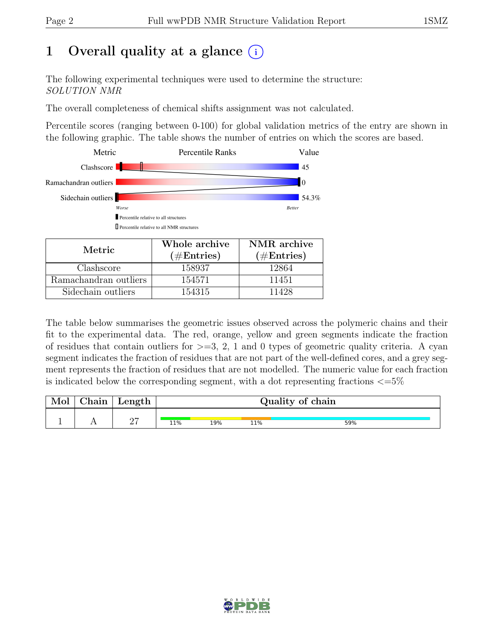## 1 Overall quality at a glance  $(i)$

The following experimental techniques were used to determine the structure: SOLUTION NMR

The overall completeness of chemical shifts assignment was not calculated.

Percentile scores (ranging between 0-100) for global validation metrics of the entry are shown in the following graphic. The table shows the number of entries on which the scores are based.



Ramachandran outliers 154571 11451 Sidechain outliers 154315 11428

The table below summarises the geometric issues observed across the polymeric chains and their fit to the experimental data. The red, orange, yellow and green segments indicate the fraction of residues that contain outliers for  $>=$  3, 2, 1 and 0 types of geometric quality criteria. A cyan segment indicates the fraction of residues that are not part of the well-defined cores, and a grey segment represents the fraction of residues that are not modelled. The numeric value for each fraction is indicated below the corresponding segment, with a dot representing fractions  $\epsilon = 5\%$ 

| Mol | ${\rm Chain}$ | Length      | Quality of chain |     |     |     |  |  |
|-----|---------------|-------------|------------------|-----|-----|-----|--|--|
|     |               | $\sim$<br>- | 11%              | 19% | 11% | 59% |  |  |

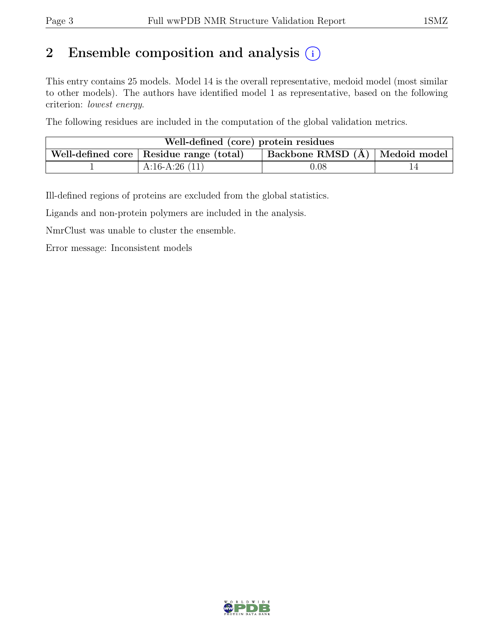## 2 Ensemble composition and analysis  $(i)$

This entry contains 25 models. Model 14 is the overall representative, medoid model (most similar to other models). The authors have identified model 1 as representative, based on the following criterion: lowest energy.

The following residues are included in the computation of the global validation metrics.

| Well-defined (core) protein residues |                                           |                                  |  |  |  |  |  |
|--------------------------------------|-------------------------------------------|----------------------------------|--|--|--|--|--|
|                                      | Well-defined core   Residue range (total) | Backbone RMSD (Å)   Medoid model |  |  |  |  |  |
|                                      | $A:16-A:26(11)$                           | $0.08\,$                         |  |  |  |  |  |

Ill-defined regions of proteins are excluded from the global statistics.

Ligands and non-protein polymers are included in the analysis.

NmrClust was unable to cluster the ensemble.

Error message: Inconsistent models

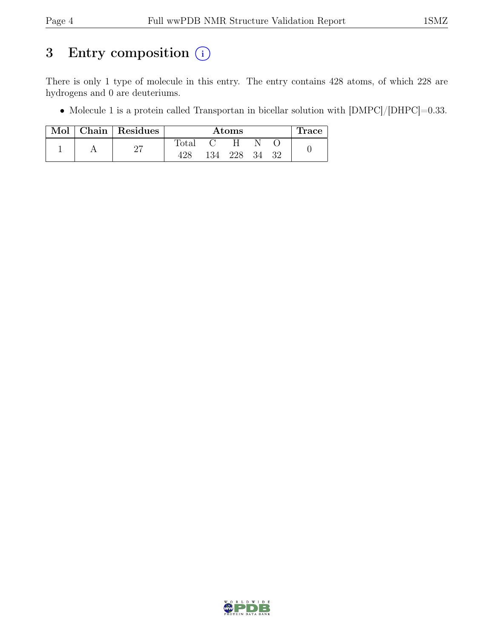## 3 Entry composition  $(i)$

There is only 1 type of molecule in this entry. The entry contains 428 atoms, of which 228 are hydrogens and 0 are deuteriums.

• Molecule 1 is a protein called Transportan in bicellar solution with  $[DMPC]/[DHPC]=0.33$ .

| Mol | Chain Residues |       |      | $\rm{Atoms}$ |    |    | <b>Trace</b> |
|-----|----------------|-------|------|--------------|----|----|--------------|
|     | $\Omega$       | Total |      |              |    |    |              |
|     | <u> 4.</u>     | 428   | 134- | 228          | 34 | 32 |              |

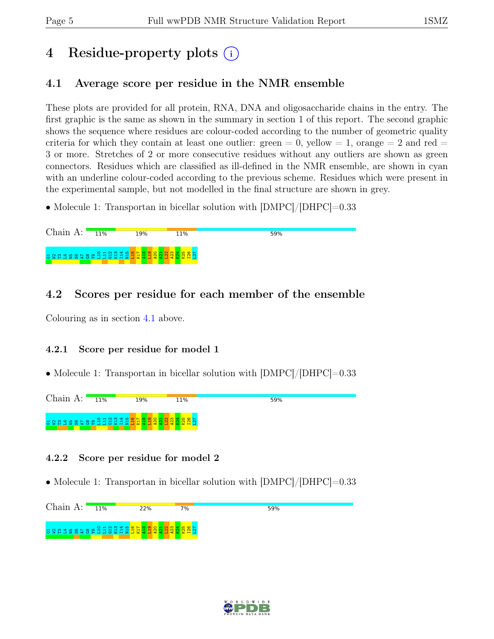## 4 Residue-property plots (i)

## <span id="page-4-0"></span>4.1 Average score per residue in the NMR ensemble

These plots are provided for all protein, RNA, DNA and oligosaccharide chains in the entry. The first graphic is the same as shown in the summary in section 1 of this report. The second graphic shows the sequence where residues are colour-coded according to the number of geometric quality criteria for which they contain at least one outlier: green  $= 0$ , yellow  $= 1$ , orange  $= 2$  and red  $=$ 3 or more. Stretches of 2 or more consecutive residues without any outliers are shown as green connectors. Residues which are classified as ill-defined in the NMR ensemble, are shown in cyan with an underline colour-coded according to the previous scheme. Residues which were present in the experimental sample, but not modelled in the final structure are shown in grey.

• Molecule 1: Transportan in bicellar solution with  $\text{[DMPC]/[DHPC]}=0.33$ 

### 4.2 Scores per residue for each member of the ensemble

Colouring as in section [4.1](#page-4-0) above.

#### 4.2.1 Score per residue for model 1

• Molecule 1: Transportan in bicellar solution with  $|DMPC|/|DHPC|=0.33$ 



#### 4.2.2 Score per residue for model 2

• Molecule 1: Transportan in bicellar solution with  $|\text{DMPC}|/|\text{DHPC}|=0.33$ 



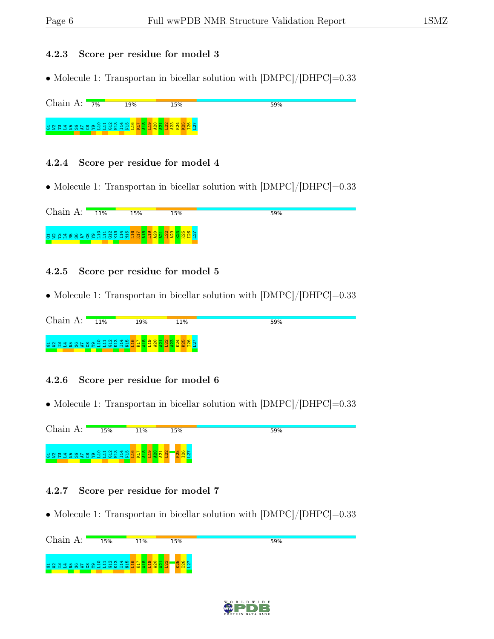#### 4.2.3 Score per residue for model 3

• Molecule 1: Transportan in bicellar solution with  $\text{[DMPC]/[DHPC]}$ =0.33

Chain A:  $7\%$ 19% 15% 59% G1W2T3L4N5S6A7 G8 Y9 L10 L11 G12 K13 I14 N15 L16 K17 A18 L19 A20 A21 L22 A23 K24 K25 I26 L27

#### 4.2.4 Score per residue for model 4

• Molecule 1: Transportan in bicellar solution with  $|DMPC|/|DHPC|=0.33$ 

Chain A: 11% 15% 15% 59% G1W2T3L4N5S6A7 G8 Y9 L10 L11 G12 K13 I14 N15 L16 K17 A18 L19 ន្ទ្រី<br>ក្នុង ក្នុង <mark>ក្នុ</mark>ង  $\frac{20}{4}$  $\frac{1}{2}$ 

#### 4.2.5 Score per residue for model 5

• Molecule 1: Transportan in bicellar solution with  $\text{[DMPC]/[DHPC]} = 0.33$ 

| Chain $A$ : | 11%                             | 19% | 11% | 59% |
|-------------|---------------------------------|-----|-----|-----|
|             | a grand se a sa grand a grand a |     |     |     |

#### 4.2.6 Score per residue for model 6

• Molecule 1: Transportan in bicellar solution with  $|DMPC|/|DHPC|=0.33$ 

Chain A: 15% 11% 59% 15% ដី ទី ដូង តី នី ទី នី ដូ ដូ ដូ អ I14  $\frac{1}{2}$  $\frac{8}{11}$ K17  $\frac{8}{4}$  $\frac{9}{2}$ <u>ଧ୍ମ</u>  $\frac{1}{2}$  $\frac{22}{2}$  $\frac{25}{2}$ I26 L27

#### 4.2.7 Score per residue for model 7

• Molecule 1: Transportan in bicellar solution with  $\text{[DMPC]/[DHPC]} = 0.33$ 

Chain A: 15% 11% 15% 59% e Saasaal  $\frac{8}{11}$ K17  $\frac{8}{4}$  $\frac{9}{21}$  $\frac{1}{2}$  $\frac{22}{2}$  $\frac{25}{2}$ I26 L27 $\frac{1}{2}$ G1W2T3L4N5S6A7 ဨႜ

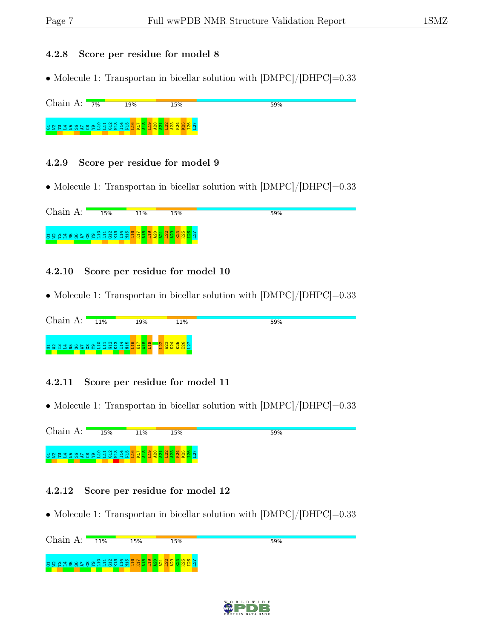#### 4.2.8 Score per residue for model 8

• Molecule 1: Transportan in bicellar solution with  $\text{[DMPC]/[DHPC]}=0.33$ 

#### 4.2.9 Score per residue for model 9

• Molecule 1: Transportan in bicellar solution with  $|DMPC|/|DHPC|=0.33$ 

| Chain A:              | 15% | 11% | 15% | 59% |
|-----------------------|-----|-----|-----|-----|
| asatasaran di anggung |     |     |     |     |

#### 4.2.10 Score per residue for model 10

• Molecule 1: Transportan in bicellar solution with  $\text{[DMPC]/[DHPC]} = 0.33$ 

| Chain A:                          | 11% | 19% | 11% | 59% |
|-----------------------------------|-----|-----|-----|-----|
| a g a g a g a g a g a g a g a g a |     |     |     |     |

#### 4.2.11 Score per residue for model 11

• Molecule 1: Transportan in bicellar solution with  $\text{[DMPC]/[DHPC]} = 0.33$ 

Chain A: 15% 11% 15% 59% S E S S E S E  $\frac{8}{11}$ K17  $\frac{8}{4}$  $\frac{9}{21}$  $\frac{1}{2}$  $\frac{1}{2}$  $\frac{22}{2}$  $\frac{23}{2}$  $\frac{1}{2}$ K25  $\frac{8}{2}$ L27 8 2 3 3 4 5 6 7 8 9

#### 4.2.12 Score per residue for model 12

• Molecule 1: Transportan in bicellar solution with  $\text{[DMPC]/[DHPC]} = 0.33$ 

Chain A:  $11\%$ 15% 15% 59% G1W2T3L4N5S6A7 G8 Y9 L10 L11 G12 K13 I14 N15 L16 K17  $\frac{1}{2}$  $\frac{8}{4}$  $\frac{9}{2}$ <u>ଧ୍ମ</u>  $\frac{1}{2}$  $\frac{22}{2}$ A23 K25 I26 L27

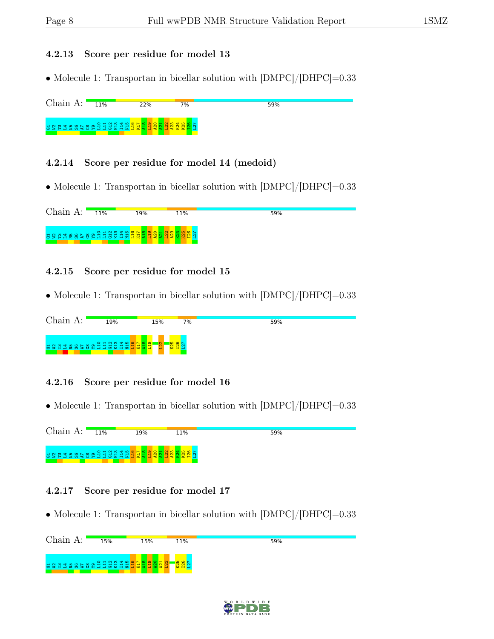#### 4.2.13 Score per residue for model 13

• Molecule 1: Transportan in bicellar solution with  $\text{[DMPC]/[DHPC]} = 0.33$ 

Chain A: 11% 22%  $7%$ 59% G1W2T3L4N5S6A7 G8 Y9 L10 L11 G12 K13 I14 N15 L16 K17 A18 L19 A20 A21 L22 A23 K24 K25 I26 L27

#### 4.2.14 Score per residue for model 14 (medoid)

• Molecule 1: Transportan in bicellar solution with  $|DMPC|/|DHPC|=0.33$ 

Chain A: 11% 19% 11% 59% G1W2T3L4N5S6A7 G8 Y9 L10 L11 G12 K13 I14 N15 L16 K17 A18 L19 A20 ដ្ឋ <mark>អ្នង និង ដូ</mark>ង

#### 4.2.15 Score per residue for model 15

• Molecule 1: Transportan in bicellar solution with  $\text{[DMPC]/[DHPC]} = 0.33$ 

| Chain A: | 19%            | 15% | 7% | 59% |
|----------|----------------|-----|----|-----|
|          | asuaseesadaana |     |    |     |

#### 4.2.16 Score per residue for model 16

• Molecule 1: Transportan in bicellar solution with  $\text{[DMPC]/[DHPC]} = 0.33$ 

Chain A: 11% 19% 11% 59% ដ ន ដ ដ ន ន ន ន ន ដ ដ ដ ដ ដ ដ  $\frac{1}{2}$  $\frac{8}{11}$ K17  $\frac{8}{4}$  $\frac{9}{21}$  $\frac{1}{2}$  $\frac{1}{2}$  $\frac{22}{2}$ A23  $\frac{1}{2}$ K25  $\frac{126}{1}$ L27

#### 4.2.17 Score per residue for model 17

• Molecule 1: Transportan in bicellar solution with  $\text{[DMPC]/[DHPC]} = 0.33$ 



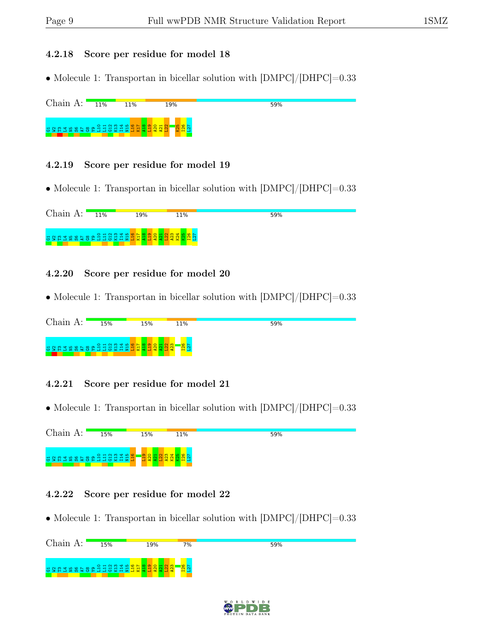#### 4.2.18 Score per residue for model 18

• Molecule 1: Transportan in bicellar solution with  $\text{[DMPC]/[DHPC]}=0.33$ 



#### 4.2.19 Score per residue for model 19

• Molecule 1: Transportan in bicellar solution with  $|DMPC|/|DHPC|=0.33$ 



#### 4.2.20 Score per residue for model 20

• Molecule 1: Transportan in bicellar solution with  $\text{[DMPC]/[DHPC]} = 0.33$ 

| Chain             | 15% | 15% | 11% | 59% |
|-------------------|-----|-----|-----|-----|
| asuaseesediaanaad |     |     |     |     |

#### 4.2.21 Score per residue for model 21

• Molecule 1: Transportan in bicellar solution with  $\text{[DMPC]/[DHPC]} = 0.33$ 

Chain A: 15% 15% 11% 59% ដ ន ដ ដ ន ន ន ន ន ដ ដ ដ ដ ដ ដ  $\frac{1}{2}$  $\frac{16}{11}$  $\frac{9}{21}$  $\frac{20}{2}$  $\frac{22}{2}$ A23  $\frac{1}{2}$  $\frac{25}{2}$ I26 L27  $\frac{1}{2}$ 

#### 4.2.22 Score per residue for model 22

• Molecule 1: Transportan in bicellar solution with  $\text{[DMPC]/[DHPC]} = 0.33$ 

| Chain A:               | 15% | 19% | 7% | 59% |
|------------------------|-----|-----|----|-----|
| asaaasaaaddaadaaaaaaaa |     |     |    |     |

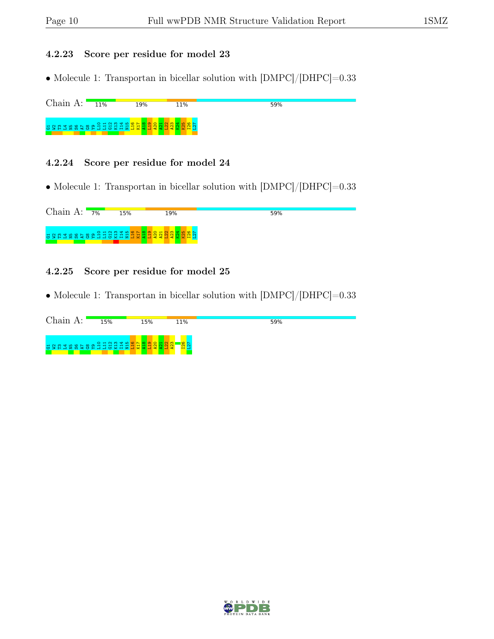#### 4.2.23 Score per residue for model 23

• Molecule 1: Transportan in bicellar solution with  $\text{[DMPC]/[DHPC]} = 0.33$ 

Chain A:  $\blacksquare$  $11%$ 19% 11% 59% G1W2T3L4N5S6A7 G8 Y9 L10 L11 G12 K13 I14 N15 L16 K17 A18 L19 A20 A21 L22 A23 K24 K25 I26 L27

#### 4.2.24 Score per residue for model 24

• Molecule 1: Transportan in bicellar solution with  $\text{[DMPC]/[DHPC]} = 0.33$ 

Chain A:  $7\%$ 15% 19% **59%** G1W2T3L4N5S6A7 G8 Y9 L10 L11 G12 K13 I14 N15 L16 K17 A18 L19 A20 A21 L22 A23 K24 K25 I26 L27

#### 4.2.25 Score per residue for model 25

• Molecule 1: Transportan in bicellar solution with  $\text{[DMPC]/[DHPC]} = 0.33$ 

| Chain A:                       | 15% | 15% | 11% | 59% |
|--------------------------------|-----|-----|-----|-----|
| agnassesadidate <mark>s</mark> |     |     |     |     |

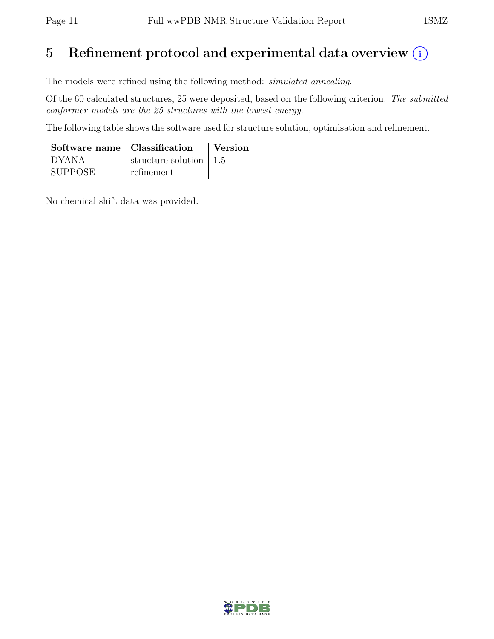## 5 Refinement protocol and experimental data overview  $(i)$

The models were refined using the following method: simulated annealing.

Of the 60 calculated structures, 25 were deposited, based on the following criterion: The submitted conformer models are the 25 structures with the lowest energy.

The following table shows the software used for structure solution, optimisation and refinement.

| Software name   Classification |                          | Version |
|--------------------------------|--------------------------|---------|
| ' DYANA                        | structure solution   1.5 |         |
| <b>SUPPOSE</b>                 | refinement               |         |

No chemical shift data was provided.

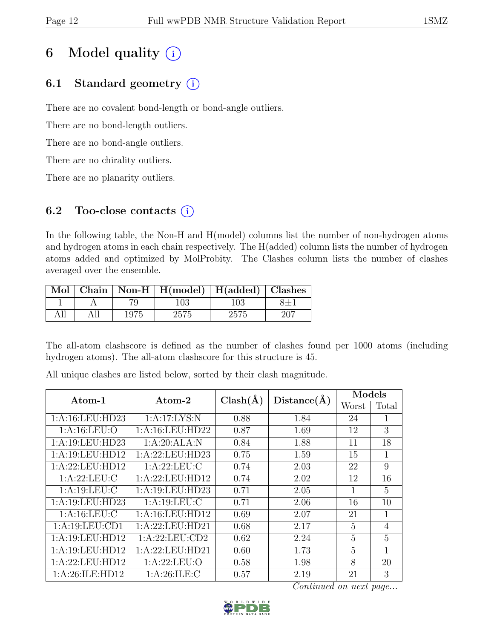## 6 Model quality  $(i)$

## 6.1 Standard geometry  $(i)$

There are no covalent bond-length or bond-angle outliers.

There are no bond-length outliers.

There are no bond-angle outliers.

There are no chirality outliers.

There are no planarity outliers.

## 6.2 Too-close contacts  $(i)$

In the following table, the Non-H and H(model) columns list the number of non-hydrogen atoms and hydrogen atoms in each chain respectively. The H(added) column lists the number of hydrogen atoms added and optimized by MolProbity. The Clashes column lists the number of clashes averaged over the ensemble.

|  |      | Mol   Chain   Non-H   H(model)   H(added)   Clashes |     |  |
|--|------|-----------------------------------------------------|-----|--|
|  |      | 103                                                 | 103 |  |
|  | 1975 | 2575                                                |     |  |

The all-atom clashscore is defined as the number of clashes found per 1000 atoms (including hydrogen atoms). The all-atom clashscore for this structure is 45.

| Atom-1              | Atom-2           | $Clash(\AA)$ | Distance(A) | Models         |                |
|---------------------|------------------|--------------|-------------|----------------|----------------|
|                     |                  |              |             | Worst          | Total          |
| 1: A: 16: LEU: HD23 | 1:A:17:LYS:N     | 0.88         | 1.84        | 24             | 1              |
| 1: A: 16: LEU: O    | 1:A:16:LEU:HD22  | 0.87         | 1.69        | 12             | 3              |
| 1:A:19:LEU:HD23     | 1:A:20:ALA:N     | 0.84         | 1.88        | 11             | 18             |
| 1:A:19:LEU:HD12     | 1:A:22:LEU:HD23  | 0.75         | 1.59        | 15             | $\mathbf{1}$   |
| 1:A:22:LEU:HD12     | 1: A:22:LEU:C    | 0.74         | 2.03        | 22             | 9              |
| 1: A:22:LEU:C       | 1:A:22:LEU:HD12  | 0.74         | 2.02        | 12             | 16             |
| 1: A: 19: LEU: C    | 1:A:19:LEU:HD23  | 0.71         | 2.05        | 1              | $\overline{5}$ |
| 1:A:19:LEU:HD23     | 1: A: 19: LEU: C | 0.71         | 2.06        | 16             | 10             |
| 1: A: 16: LEU: C    | 1:A:16:LEU:HD12  | 0.69         | 2.07        | 21             | 1              |
| 1:A:19:LEU:CD1      | 1:A:22:LEU:HD21  | 0.68         | 2.17        | 5              | $\overline{4}$ |
| 1:A:19:LEU:HD12     | 1:A:22:LEU:CD2   | 0.62         | 2.24        | 5              | 5              |
| 1:A:19:LEU:HD12     | 1:A:22:LEU:HD21  | 0.60         | 1.73        | $\overline{5}$ | 1              |
| 1:A:22:LEU:HD12     | 1: A:22:LEU:O    | 0.58         | 1.98        | 8              | 20             |
| 1: A:26: ILE: HD12  | 1: A:26: ILE:C   | 0.57         | 2.19        | 21             | 3              |

All unique clashes are listed below, sorted by their clash magnitude.

Continued on next page...

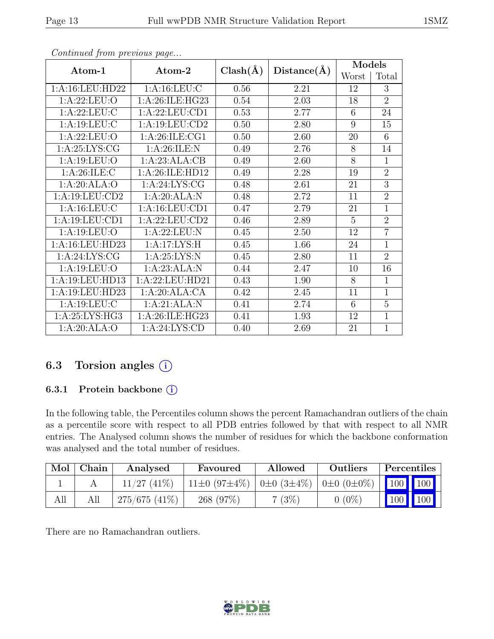| Atom-1           | Atom-2             | $Clash(\AA)$ | Distance(A) | Models |                |
|------------------|--------------------|--------------|-------------|--------|----------------|
|                  |                    |              |             | Worst  | Total          |
| 1:A:16:LEU:HD22  | 1: A: 16: LEU: C   | 0.56         | 2.21        | 12     | 3              |
| 1: A:22:LEU:O    | 1: A:26: ILE: HG23 | 0.54         | 2.03        | 18     | $\overline{2}$ |
| 1:A:22:LEU:C     | 1:A:22:LEU:CD1     | 0.53         | 2.77        | 6      | 24             |
| 1: A: 19: LEU: C | 1:A:19:LEU:CD2     | 0.50         | 2.80        | 9      | 15             |
| 1: A:22:LEU:O    | 1: A:26: ILE: CG1  | 0.50         | 2.60        | 20     | 6              |
| 1: A:25: LYS: CG | 1: A:26: ILE:N     | 0.49         | 2.76        | 8      | 14             |
| 1: A: 19: LEU: O | 1:A:23:ALA:CB      | 0.49         | 2.60        | 8      | 1              |
| 1: A:26: ILE:C   | 1:A:26:ILE:HD12    | 0.49         | 2.28        | 19     | $\overline{2}$ |
| 1:A:20:ALA:O     | 1: A:24: LYS: CG   | 0.48         | 2.61        | 21     | $\overline{3}$ |
| 1:A:19:LEU:CD2   | 1:A:20:ALA:N       | 0.48         | 2.72        | 11     | $\overline{2}$ |
| 1: A: 16: LEU: C | 1:A:16:LEU:CD1     | 0.47         | 2.79        | 21     | $\overline{1}$ |
| 1:A:19:LEU:CD1   | 1: A:22: LEU:CD2   | 0.46         | 2.89        | 5      | $\overline{2}$ |
| 1: A: 19: LEU: O | 1:A:22:LEU:N       | 0.45         | 2.50        | 12     | $\overline{7}$ |
| 1:A:16:LEU:HD23  | 1:A:17:LYS:H       | 0.45         | 1.66        | 24     | 1              |
| 1: A:24: LYS: CG | 1: A:25: LYS:N     | 0.45         | 2.80        | 11     | $\overline{2}$ |
| 1:A:19:LEU:O     | 1:A:23:ALA:N       | 0.44         | 2.47        | 10     | 16             |
| 1:A:19:LEU:HD13  | 1:A:22:LEU:HD21    | 0.43         | 1.90        | 8      | 1              |
| 1:A:19:LEU:HD23  | 1:A:20:ALA:CA      | 0.42         | 2.45        | 11     | 1              |
| 1: A: 19: LEU: C | 1:A:21:ALA:N       | 0.41         | 2.74        | 6      | $\overline{5}$ |
| 1:A:25:LYS:HG3   | 1:A:26:ILE:HG23    | 0.41         | 1.93        | 12     | 1              |
| 1:A:20:ALA:O     | 1: A:24: LYS:CD    | 0.40         | 2.69        | 21     | 1              |

Continued from previous page...

### 6.3 Torsion angles (i)

#### 6.3.1 Protein backbone (i)

In the following table, the Percentiles column shows the percent Ramachandran outliers of the chain as a percentile score with respect to all PDB entries followed by that with respect to all NMR entries. The Analysed column shows the number of residues for which the backbone conformation was analysed and the total number of residues.

| Mol | Chain | Analysed        | Favoured                                                                  | Allowed  | Outliers | Percentiles                                 |     |
|-----|-------|-----------------|---------------------------------------------------------------------------|----------|----------|---------------------------------------------|-----|
|     |       | $11/27$ (41\%)  | $11\pm0$ (97 $\pm4\%$ )   0 $\pm0$ (3 $\pm4\%$ )   0 $\pm0$ (0 $\pm0\%$ ) |          |          | $\parallel$ 100 $\parallel$ 100 $\parallel$ |     |
| All |       | $275/675(41\%)$ | 268 (97%)                                                                 | $7(3\%)$ | $(0\%)$  | $\vert$ 100 $\vert$ $\vert$                 | 100 |

There are no Ramachandran outliers.

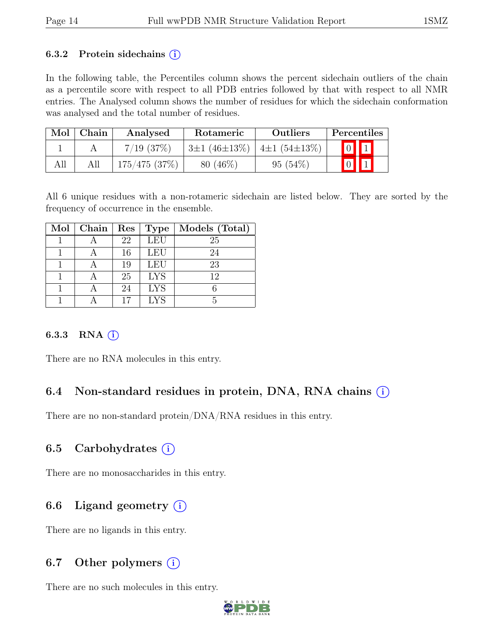#### 6.3.2 Protein sidechains  $(i)$

In the following table, the Percentiles column shows the percent sidechain outliers of the chain as a percentile score with respect to all PDB entries followed by that with respect to all NMR entries. The Analysed column shows the number of residues for which the sidechain conformation was analysed and the total number of residues.

| Mol | Chain | Analysed       | Rotameric                                | <b>Outliers</b> | Percentiles             |  |
|-----|-------|----------------|------------------------------------------|-----------------|-------------------------|--|
|     |       | $7/19$ $(37%)$ | $3\pm1(46\pm13\%)$   4 $\pm1(54\pm13\%)$ |                 | $\boxed{0}$ $\boxed{1}$ |  |
| All |       | 175/475(37%)   | $80(46\%)$                               | $95(54\%)$      | $\boxed{0}$             |  |

All 6 unique residues with a non-rotameric sidechain are listed below. They are sorted by the frequency of occurrence in the ensemble.

| Mol | Chain | $\operatorname{Res}% \left( \mathcal{N}\right) \equiv\operatorname{Res}(\mathcal{N}_{0})\cap\mathcal{N}_{1}$ | <b>Type</b> | Models (Total) |
|-----|-------|--------------------------------------------------------------------------------------------------------------|-------------|----------------|
|     |       | 22                                                                                                           | LEU         | 25             |
|     |       | 16                                                                                                           | <b>LEU</b>  | 24             |
|     |       | 19                                                                                                           | LEU         | 23             |
|     |       | 25                                                                                                           | <b>LYS</b>  | 12             |
|     |       | 24                                                                                                           | <b>LYS</b>  |                |
|     |       |                                                                                                              | <b>LYS</b>  |                |

#### 6.3.3 RNA $(i)$

There are no RNA molecules in this entry.

### 6.4 Non-standard residues in protein, DNA, RNA chains (i)

There are no non-standard protein/DNA/RNA residues in this entry.

#### 6.5 Carbohydrates  $(i)$

There are no monosaccharides in this entry.

### 6.6 Ligand geometry  $(i)$

There are no ligands in this entry.

### 6.7 Other polymers  $(i)$

There are no such molecules in this entry.

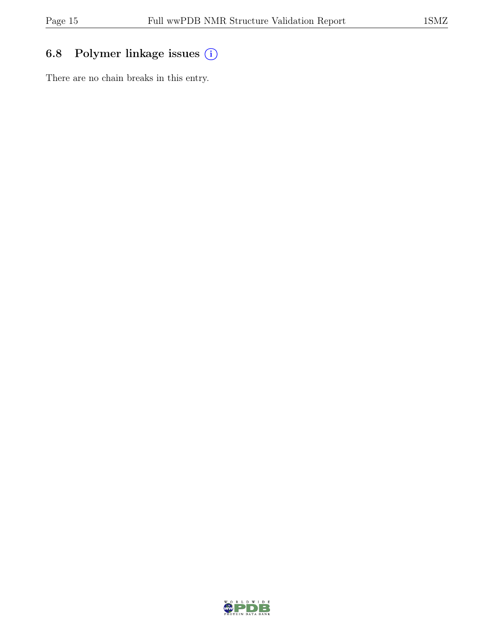## 6.8 Polymer linkage issues (i)

There are no chain breaks in this entry.